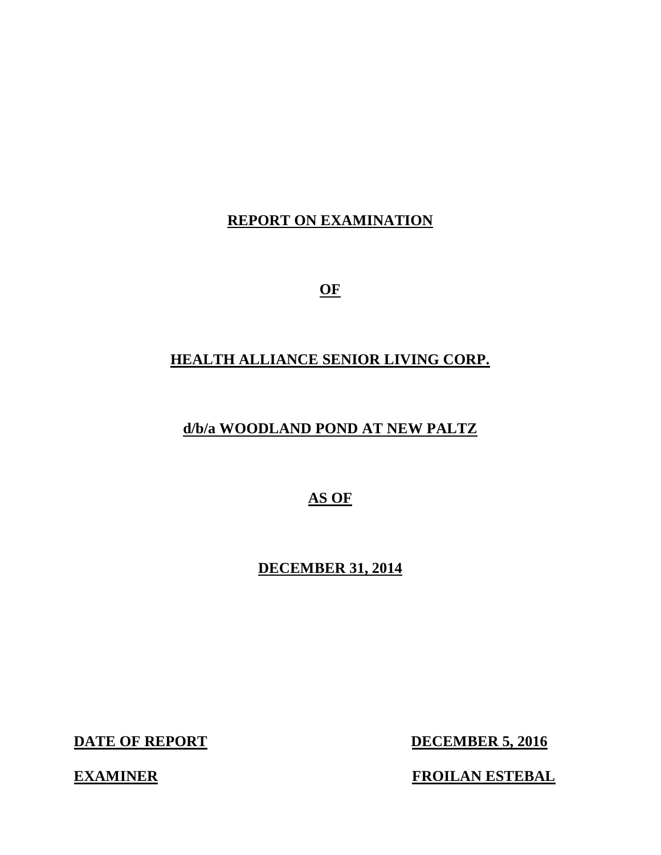# **REPORT ON EXAMINATION**

**OF** 

# **HEALTH ALLIANCE SENIOR LIVING CORP.**

# **d/b/a WOODLAND POND AT NEW PALTZ**

 **AS OF** 

 **DECEMBER 31, 2014** 

**DATE OF REPORT** 

**DECEMBER 5, 2016** 

**EXAMINER FROILAN ESTEBAL**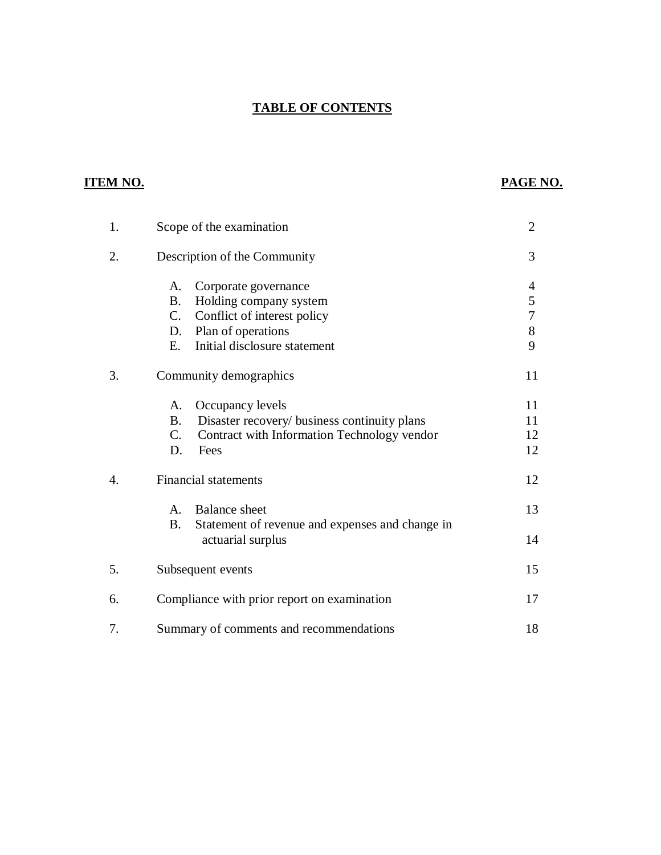## **TABLE OF CONTENTS**

## **ITEM NO.**

## **PAGE NO.**

| 1. |                                             | Scope of the examination                                             | $\overline{2}$ |
|----|---------------------------------------------|----------------------------------------------------------------------|----------------|
| 2. |                                             | Description of the Community                                         | 3              |
|    | A.                                          | Corporate governance                                                 | 4              |
|    | <b>B.</b>                                   | Holding company system                                               | 5              |
|    | $C_{\cdot}$                                 | Conflict of interest policy                                          | 7              |
|    | D.                                          | Plan of operations                                                   | 8              |
|    | E.                                          | Initial disclosure statement                                         | 9              |
| 3. |                                             | Community demographics                                               | 11             |
|    | A.                                          | Occupancy levels                                                     | 11             |
|    | <b>B.</b>                                   | Disaster recovery/ business continuity plans                         | 11             |
|    | $C_{\cdot}$                                 | Contract with Information Technology vendor                          | 12             |
|    | D.                                          | Fees                                                                 | 12             |
| 4. | <b>Financial statements</b>                 |                                                                      | 12             |
|    | A.<br><b>B.</b>                             | <b>Balance</b> sheet                                                 | 13             |
|    |                                             | Statement of revenue and expenses and change in<br>actuarial surplus | 14             |
| 5. |                                             | Subsequent events                                                    | 15             |
| 6. | Compliance with prior report on examination |                                                                      | 17             |
| 7. |                                             | Summary of comments and recommendations                              | 18             |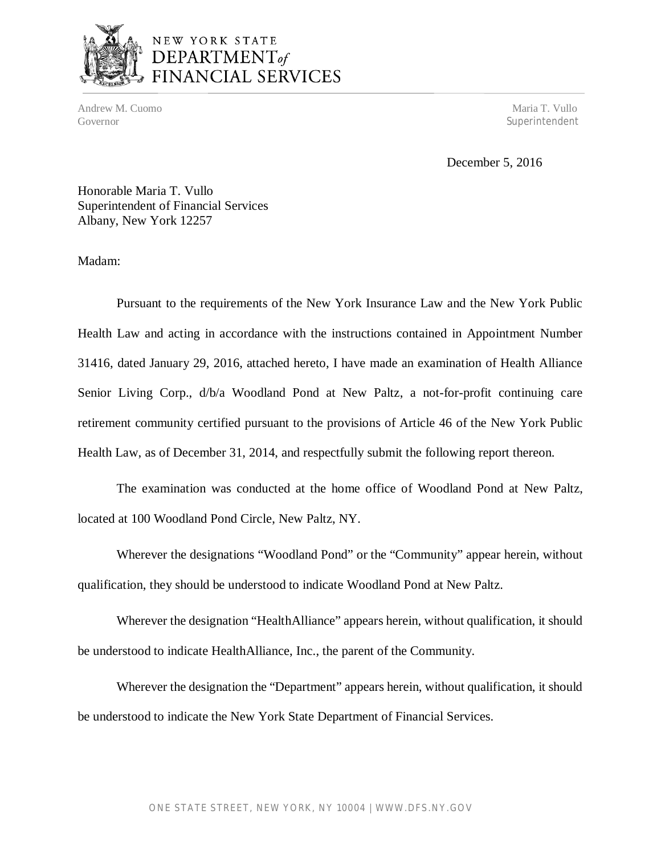

# NEW YORK STATE DEPARTMENT<sub>of</sub><br>FINANCIAL SERVICES

Andrew M. Cuomo **Maria T. Vullo** Andrew M. Cuomo **Maria T. Vullo** Andrew M. Cuomo **Maria T. Vullo** Governor Superintendent

December 5, 2016

 Honorable Maria T. Vullo Superintendent of Financial Services Albany, New York 12257

Madam:

 Pursuant to the requirements of the New York Insurance Law and the New York Public Health Law and acting in accordance with the instructions contained in Appointment Number 31416, dated January 29, 2016, attached hereto, I have made an examination of Health Alliance Senior Living Corp., d/b/a Woodland Pond at New Paltz, a not-for-profit continuing care retirement community certified pursuant to the provisions of Article 46 of the New York Public Health Law, as of December 31, 2014, and respectfully submit the following report thereon.

 The examination was conducted at the home office of Woodland Pond at New Paltz, located at 100 Woodland Pond Circle, New Paltz, NY.

 Wherever the designations "Woodland Pond" or the "Community" appear herein, without qualification, they should be understood to indicate Woodland Pond at New Paltz.

 Wherever the designation "HealthAlliance" appears herein, without qualification, it should be understood to indicate HealthAlliance, Inc., the parent of the Community.

 Wherever the designation the "Department" appears herein, without qualification, it should be understood to indicate the New York State Department of Financial Services.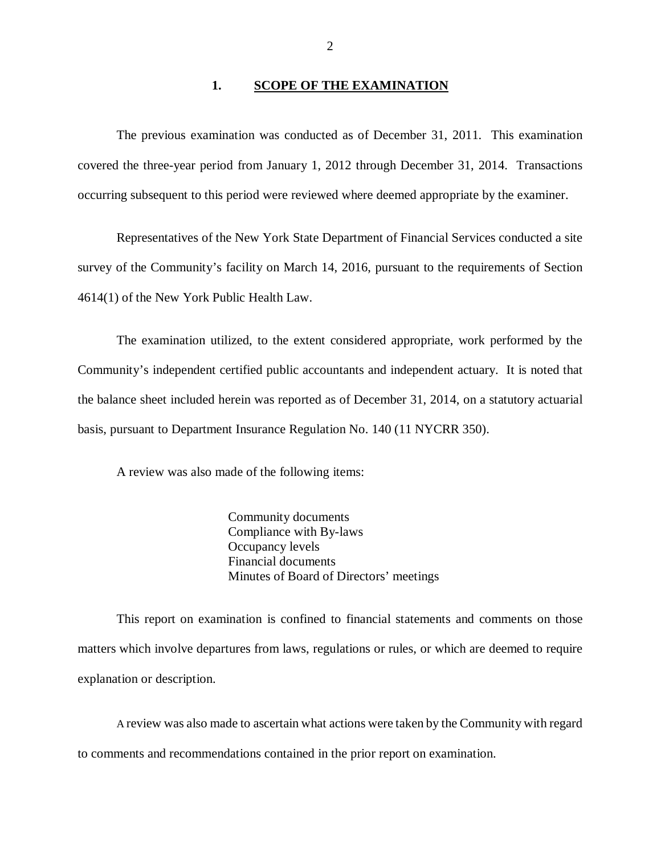#### **1. <u>SCOPE OF THE EXAMINATION</u>**

<span id="page-3-0"></span> The previous examination was conducted as of December 31, 2011. This examination covered the three-year period from January 1, 2012 through December 31, 2014. Transactions occurring subsequent to this period were reviewed where deemed appropriate by the examiner.

 Representatives of the New York State Department of Financial Services conducted a site survey of the Community's facility on March 14, 2016, pursuant to the requirements of Section 4614(1) of the New York Public Health Law.

 The examination utilized, to the extent considered appropriate, work performed by the Community's independent certified public accountants and independent actuary. It is noted that the balance sheet included herein was reported as of December 31, 2014, on a statutory actuarial basis, pursuant to Department Insurance Regulation No. 140 (11 NYCRR 350).

A review was also made of the following items:

 Community documents Compliance with By-laws Occupancy levels Financial documents Minutes of Board of Directors' meetings

 matters which involve departures from laws, regulations or rules, or which are deemed to require explanation or description. This report on examination is confined to financial statements and comments on those

 A review was also made to ascertain what actions were taken by the Community with regard to comments and recommendations contained in the prior report on examination.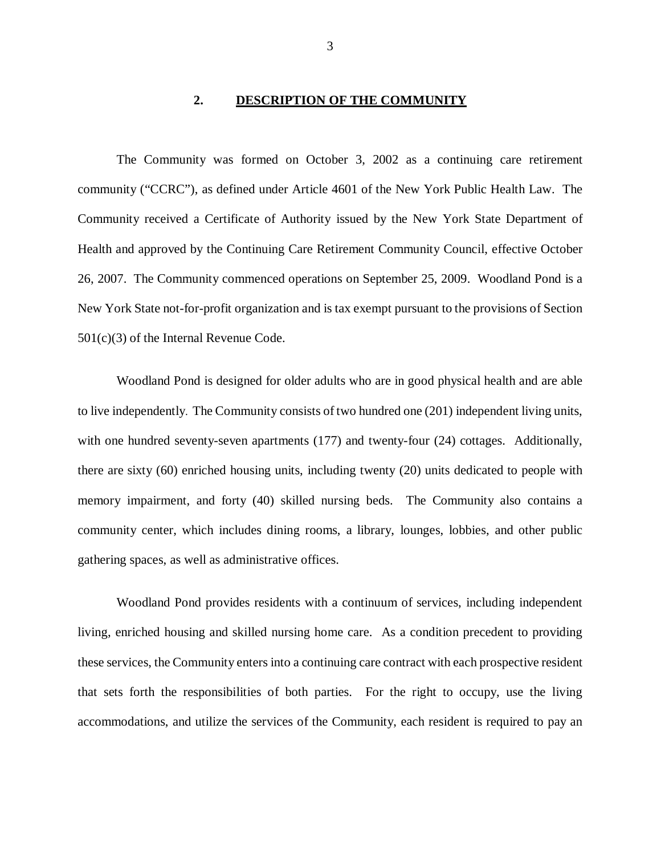#### 2. **2. DESCRIPTION OF THE COMMUNITY**

<span id="page-4-0"></span> The Community was formed on October 3, 2002 as a continuing care retirement community ("CCRC"), as defined under Article 4601 of the New York Public Health Law. The Community received a Certificate of Authority issued by the New York State Department of Health and approved by the Continuing Care Retirement Community Council, effective October 26, 2007. The Community commenced operations on September 25, 2009. Woodland Pond is a New York State not-for-profit organization and is tax exempt pursuant to the provisions of Section 501(c)(3) of the Internal Revenue Code.

 Woodland Pond is designed for older adults who are in good physical health and are able to live independently. The Community consists of two hundred one (201) independent living units, with one hundred seventy-seven apartments (177) and twenty-four (24) cottages. Additionally, there are sixty (60) enriched housing units, including twenty (20) units dedicated to people with memory impairment, and forty (40) skilled nursing beds. The Community also contains a community center, which includes dining rooms, a library, lounges, lobbies, and other public gathering spaces, as well as administrative offices.

 Woodland Pond provides residents with a continuum of services, including independent living, enriched housing and skilled nursing home care. As a condition precedent to providing these services, the Community enters into a continuing care contract with each prospective resident that sets forth the responsibilities of both parties. For the right to occupy, use the living accommodations, and utilize the services of the Community, each resident is required to pay an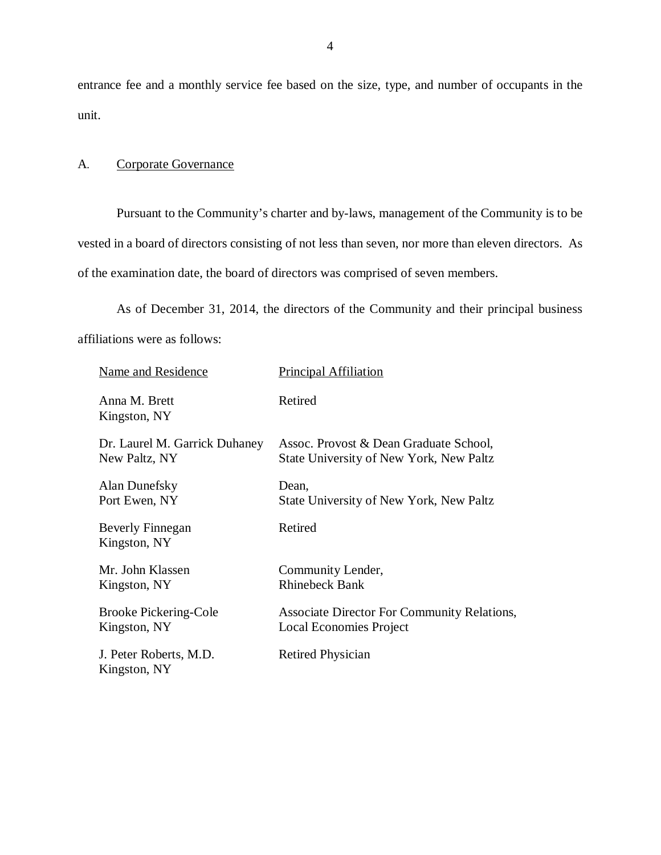entrance fee and a monthly service fee based on the size, type, and number of occupants in the unit.

# unit.<br>A. Corporate Governance

 Pursuant to the Community's charter and by-laws, management of the Community is to be vested in a board of directors consisting of not less than seven, nor more than eleven directors. As of the examination date, the board of directors was comprised of seven members.

 affiliations were as follows: As of December 31, 2014, the directors of the Community and their principal business

| Name and Residence                      | Principal Affiliation                              |
|-----------------------------------------|----------------------------------------------------|
| Anna M. Brett<br>Kingston, NY           | Retired                                            |
| Dr. Laurel M. Garrick Duhaney           | Assoc. Provost & Dean Graduate School,             |
| New Paltz, NY                           | State University of New York, New Paltz            |
| Alan Dunefsky                           | Dean,                                              |
| Port Ewen, NY                           | State University of New York, New Paltz            |
| <b>Beverly Finnegan</b><br>Kingston, NY | Retired                                            |
| Mr. John Klassen                        | Community Lender,                                  |
| Kingston, NY                            | <b>Rhinebeck Bank</b>                              |
| <b>Brooke Pickering-Cole</b>            | <b>Associate Director For Community Relations,</b> |
| Kingston, NY                            | <b>Local Economies Project</b>                     |
| J. Peter Roberts, M.D.<br>Kingston, NY  | <b>Retired Physician</b>                           |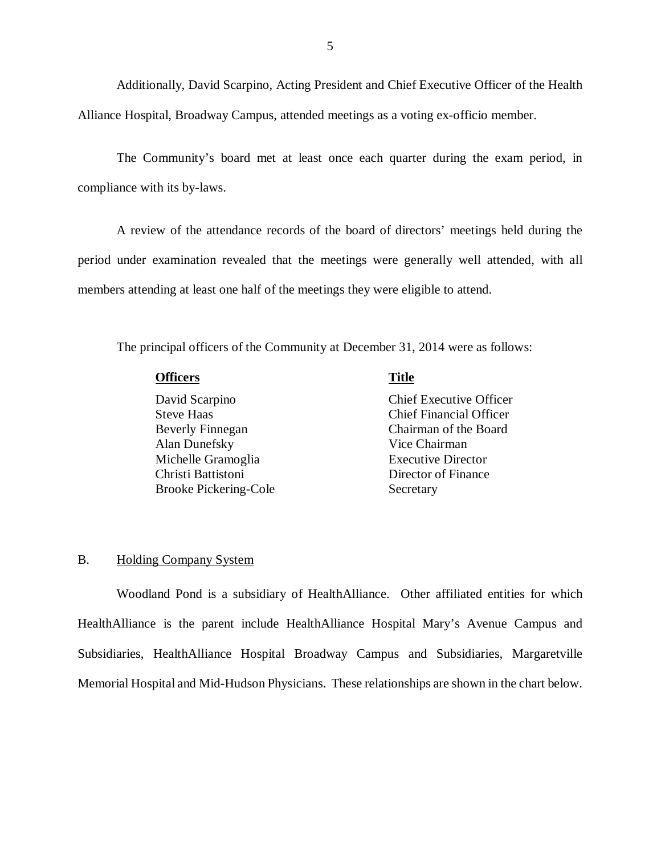<span id="page-6-0"></span> Additionally, David Scarpino, Acting President and Chief Executive Officer of the Health Alliance Hospital, Broadway Campus, attended meetings as a voting ex-officio member.

 The Community's board met at least once each quarter during the exam period, in compliance with its by-laws.

 period under examination revealed that the meetings were generally well attended, with all members attending at least one half of the meetings they were eligible to attend. A review of the attendance records of the board of directors' meetings held during the

The principal officers of the Community at December 31, 2014 were as follows:

| <b>Officers</b> | <b>Title</b> |
|-----------------|--------------|
|                 |              |

David Scarpino **Steve Haas Beverly Finnegan**  Alan Dunefsky Vice Chairman Michelle Gramoglia **Executive Director** Christi Battistoni Brooke Pickering-Cole Secretary

Chief Executive Officer Chief Financial Officer Chairman of the Board Director of Finance

## B. Holding Company System

 Woodland Pond is a subsidiary of HealthAlliance. Other affiliated entities for which HealthAlliance is the parent include HealthAlliance Hospital Mary's Avenue Campus and Subsidiaries, HealthAlliance Hospital Broadway Campus and Subsidiaries, Margaretville Memorial Hospital and Mid-Hudson Physicians. These relationships are shown in the chart below.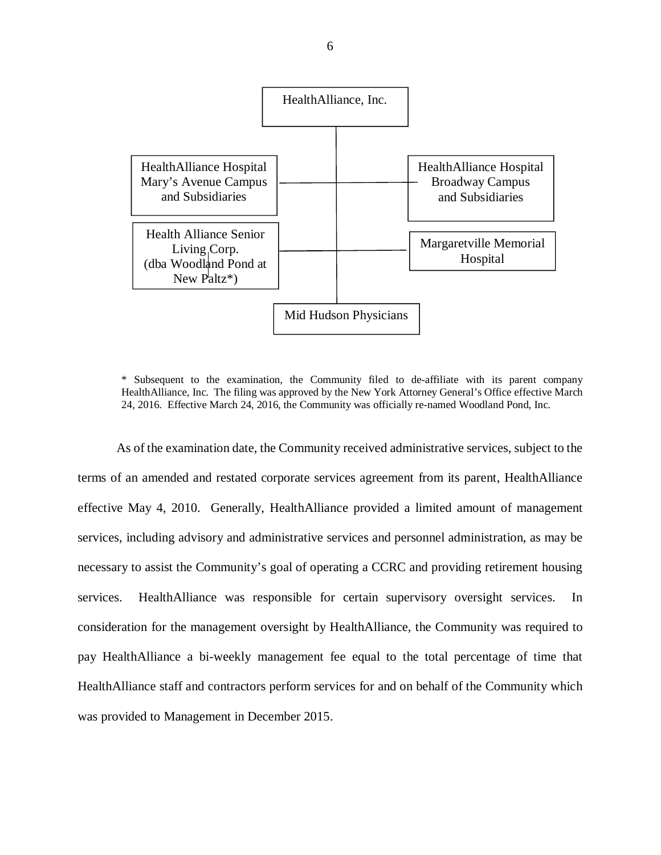

 \* Subsequent to the examination, the Community filed to de-affiliate with its parent company HealthAlliance, Inc. The filing was approved by the New York Attorney General's Office effective March 24, 2016. Effective March 24, 2016, the Community was officially re-named Woodland Pond, Inc.

 As of the examination date, the Community received administrative services, subject to the terms of an amended and restated corporate services agreement from its parent, HealthAlliance effective May 4, 2010. Generally, HealthAlliance provided a limited amount of management services, including advisory and administrative services and personnel administration, as may be necessary to assist the Community's goal of operating a CCRC and providing retirement housing services. consideration for the management oversight by HealthAlliance, the Community was required to pay HealthAlliance a bi-weekly management fee equal to the total percentage of time that HealthAlliance staff and contractors perform services for and on behalf of the Community which was provided to Management in December 2015. HealthAlliance was responsible for certain supervisory oversight services. In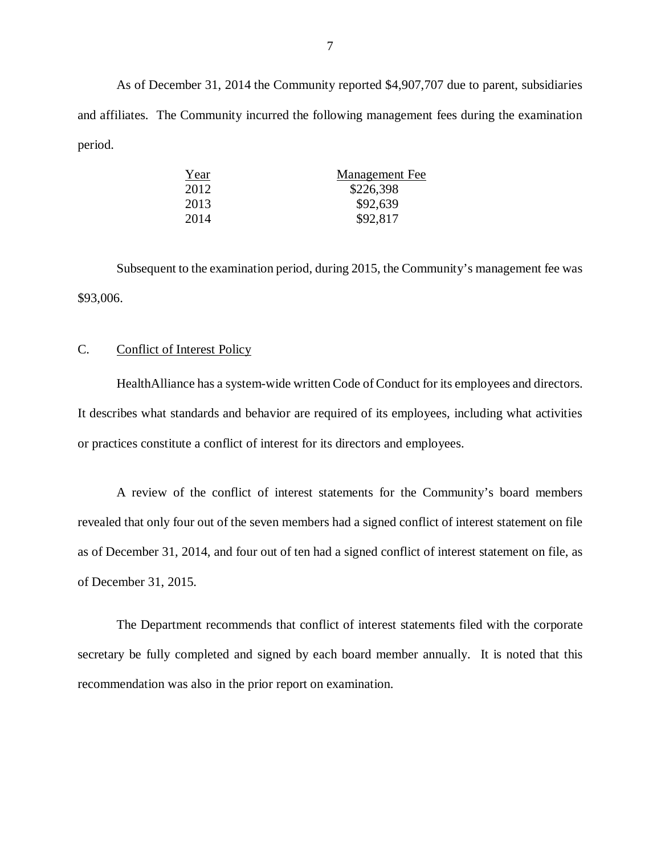As of December 31, 2014 the Community reported \$4,907,707 due to parent, subsidiaries and affiliates. The Community incurred the following management fees during the examination period. period.  ${\underline {Year}}$ 

| Year | <u>Management Fee</u> |
|------|-----------------------|
| 2012 | \$226,398             |
| 2013 | \$92,639              |
| 2014 | \$92,817              |

 Subsequent to the examination period, during 2015, the Community's management fee was \$93,006.

# \$93,006.<br>C. Conflict of Interest Policy

 HealthAlliance has a system-wide written Code of Conduct for its employees and directors. It describes what standards and behavior are required of its employees, including what activities or practices constitute a conflict of interest for its directors and employees.

 revealed that only four out of the seven members had a signed conflict of interest statement on file as of December 31, 2014, and four out of ten had a signed conflict of interest statement on file, as of December 31, 2015. A review of the conflict of interest statements for the Community's board members

 The Department recommends that conflict of interest statements filed with the corporate secretary be fully completed and signed by each board member annually. It is noted that this recommendation was also in the prior report on examination.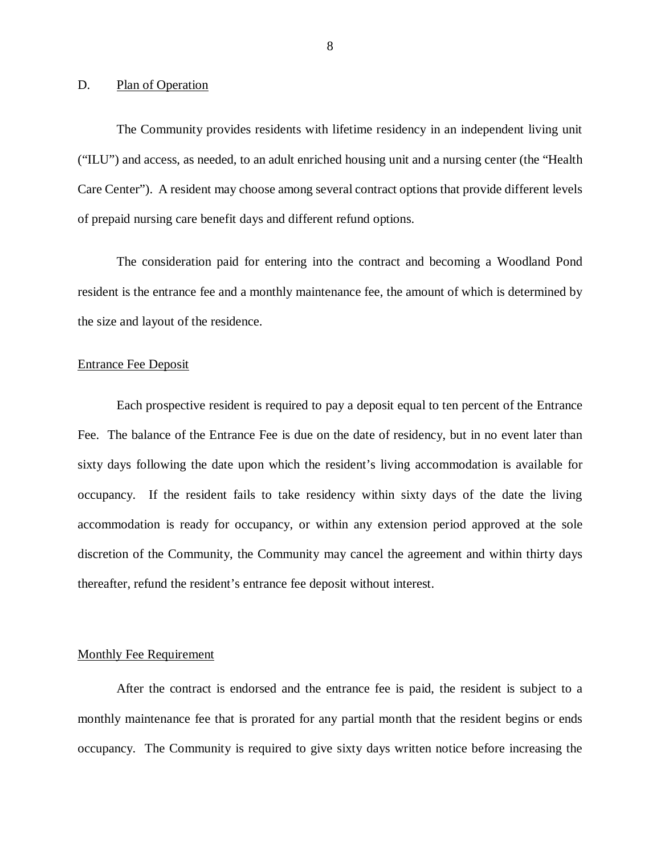#### <span id="page-9-0"></span>D. Plan of Operation

 The Community provides residents with lifetime residency in an independent living unit ("ILU") and access, as needed, to an adult enriched housing unit and a nursing center (the "Health Care Center"). A resident may choose among several contract options that provide different levels of prepaid nursing care benefit days and different refund options.

 The consideration paid for entering into the contract and becoming a Woodland Pond resident is the entrance fee and a monthly maintenance fee, the amount of which is determined by the size and layout of the residence.

## Entrance Fee Deposit

 Each prospective resident is required to pay a deposit equal to ten percent of the Entrance Fee. The balance of the Entrance Fee is due on the date of residency, but in no event later than sixty days following the date upon which the resident's living accommodation is available for occupancy. If the resident fails to take residency within sixty days of the date the living accommodation is ready for occupancy, or within any extension period approved at the sole discretion of the Community, the Community may cancel the agreement and within thirty days thereafter, refund the resident's entrance fee deposit without interest.

## Monthly Fee Requirement

 monthly maintenance fee that is prorated for any partial month that the resident begins or ends occupancy. The Community is required to give sixty days written notice before increasing the After the contract is endorsed and the entrance fee is paid, the resident is subject to a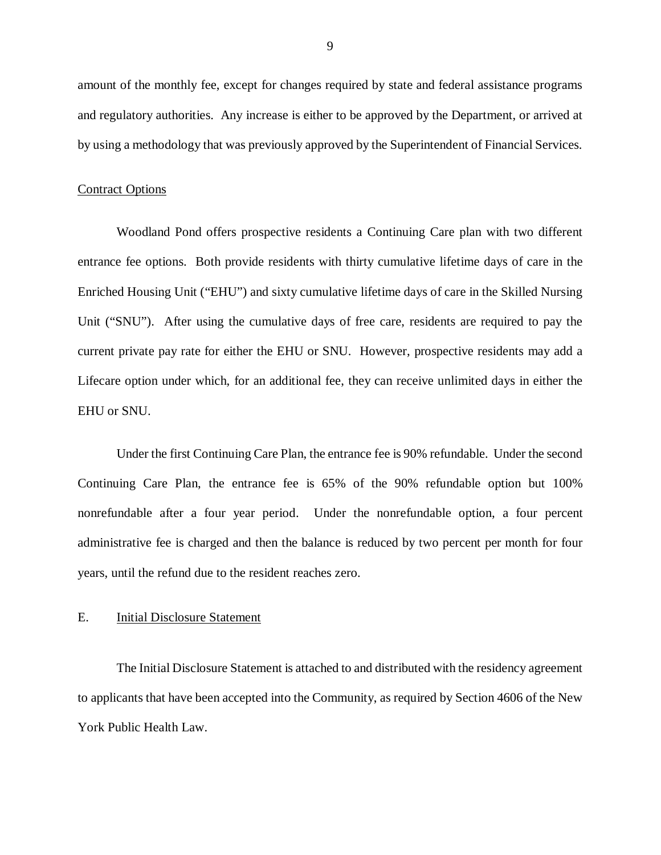<span id="page-10-0"></span> amount of the monthly fee, except for changes required by state and federal assistance programs and regulatory authorities. Any increase is either to be approved by the Department, or arrived at by using a methodology that was previously approved by the Superintendent of Financial Services.

## **Contract Options**

 Woodland Pond offers prospective residents a Continuing Care plan with two different entrance fee options. Both provide residents with thirty cumulative lifetime days of care in the Enriched Housing Unit ("EHU") and sixty cumulative lifetime days of care in the Skilled Nursing Unit ("SNU"). After using the cumulative days of free care, residents are required to pay the current private pay rate for either the EHU or SNU. However, prospective residents may add a Lifecare option under which, for an additional fee, they can receive unlimited days in either the EHU or SNU.

 Under the first Continuing Care Plan, the entrance fee is 90% refundable. Under the second Continuing Care Plan, the entrance fee is 65% of the 90% refundable option but 100% nonrefundable after a four year period. Under the nonrefundable option, a four percent administrative fee is charged and then the balance is reduced by two percent per month for four years, until the refund due to the resident reaches zero.

#### E. **Initial Disclosure Statement**

 The Initial Disclosure Statement is attached to and distributed with the residency agreement to applicants that have been accepted into the Community, as required by Section 4606 of the New York Public Health Law.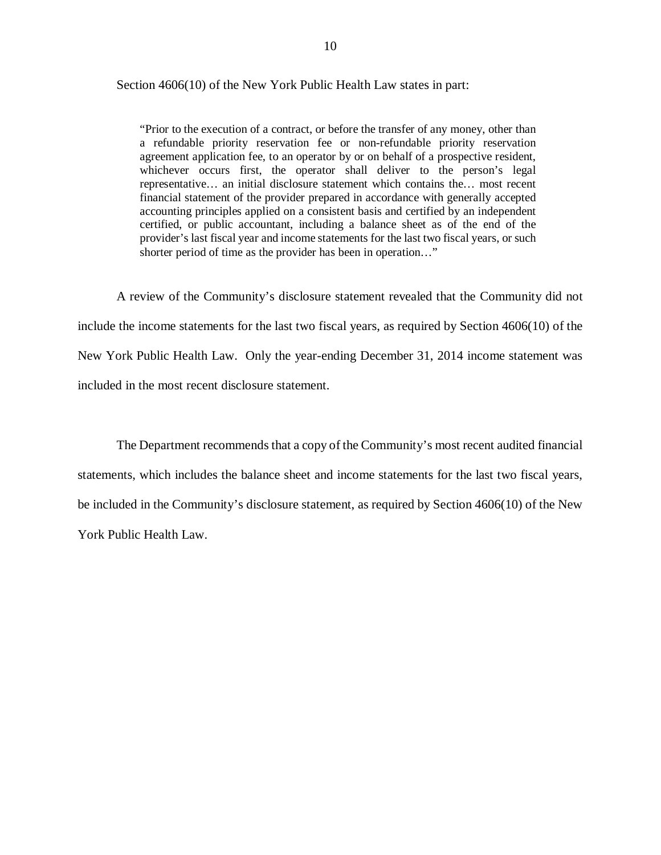Section 4606(10) of the New York Public Health Law states in part:

 "Prior to the execution of a contract, or before the transfer of any money, other than a refundable priority reservation fee or non-refundable priority reservation agreement application fee, to an operator by or on behalf of a prospective resident, whichever occurs first, the operator shall deliver to the person's legal representative… an initial disclosure statement which contains the… most recent financial statement of the provider prepared in accordance with generally accepted accounting principles applied on a consistent basis and certified by an independent certified, or public accountant, including a balance sheet as of the end of the provider's last fiscal year and income statements for the last two fiscal years, or such shorter period of time as the provider has been in operation…"

 A review of the Community's disclosure statement revealed that the Community did not include the income statements for the last two fiscal years, as required by Section 4606(10) of the New York Public Health Law. Only the year-ending December 31, 2014 income statement was included in the most recent disclosure statement.

 The Department recommends that a copy of the Community's most recent audited financial statements, which includes the balance sheet and income statements for the last two fiscal years, be included in the Community's disclosure statement, as required by Section 4606(10) of the New York Public Health Law.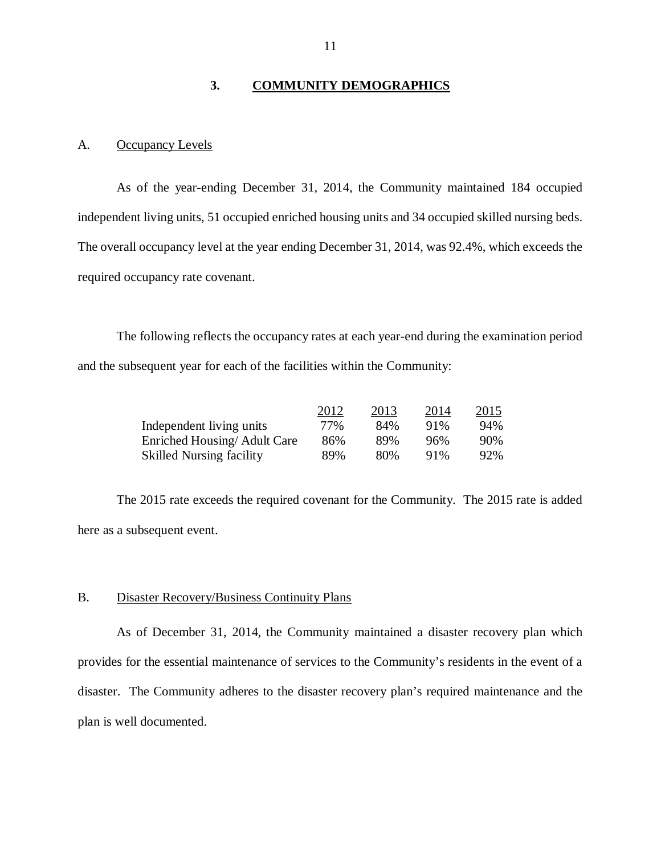#### 3. **3. COMMUNITY DEMOGRAPHICS**

## <span id="page-12-0"></span>A. Occupancy Levels

 As of the year-ending December 31, 2014, the Community maintained 184 occupied independent living units, 51 occupied enriched housing units and 34 occupied skilled nursing beds. The overall occupancy level at the year ending December 31, 2014, was 92.4%, which exceeds the required occupancy rate covenant.

 The following reflects the occupancy rates at each year-end during the examination period and the subsequent year for each of the facilities within the Community:

|                                 | 2012 | 2013 | 2014   | 2015 |
|---------------------------------|------|------|--------|------|
| Independent living units        | 77%  | 84%  | $91\%$ | 94%  |
| Enriched Housing/Adult Care     | 86%  | 89%  | 96%    | 90\% |
| <b>Skilled Nursing facility</b> | 89%  | 80%  | 91%    | 92%  |

 The 2015 rate exceeds the required covenant for the Community. The 2015 rate is added here as a subsequent event.

## B. Disaster Recovery/Business Continuity Plans

 As of December 31, 2014, the Community maintained a disaster recovery plan which provides for the essential maintenance of services to the Community's residents in the event of a disaster. The Community adheres to the disaster recovery plan's required maintenance and the plan is well documented.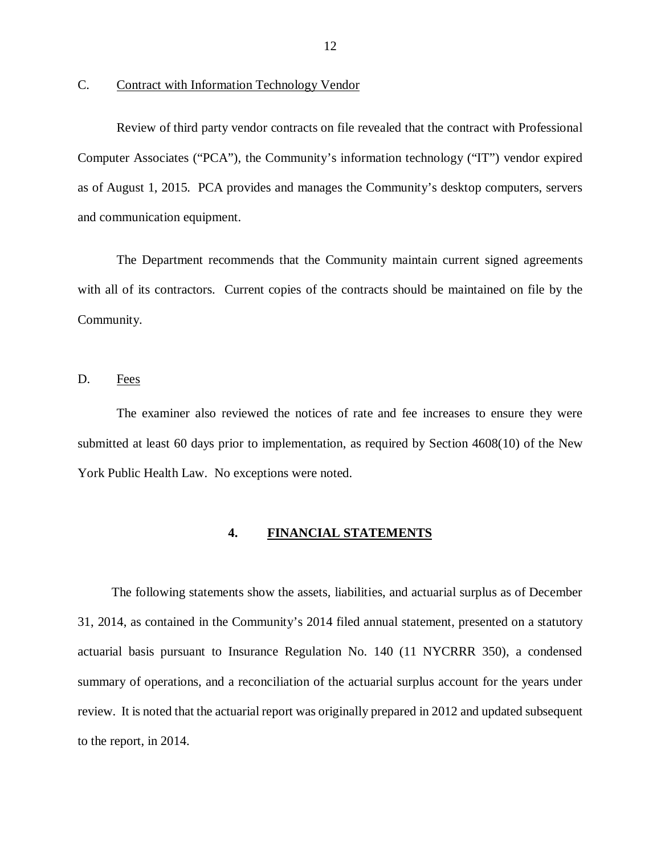<span id="page-13-0"></span>C. Contract with Information Technology Vendor

 Review of third party vendor contracts on file revealed that the contract with Professional Computer Associates ("PCA"), the Community's information technology ("IT") vendor expired as of August 1, 2015. PCA provides and manages the Community's desktop computers, servers and communication equipment.

 The Department recommends that the Community maintain current signed agreements with all of its contractors. Current copies of the contracts should be maintained on file by the Community.

D. Fees

 The examiner also reviewed the notices of rate and fee increases to ensure they were submitted at least 60 days prior to implementation, as required by Section 4608(10) of the New York Public Health Law. No exceptions were noted.

#### **4. FINANCIAL STATEMENTS**

 The following statements show the assets, liabilities, and actuarial surplus as of December 31, 2014, as contained in the Community's 2014 filed annual statement, presented on a statutory actuarial basis pursuant to Insurance Regulation No. 140 (11 NYCRRR 350), a condensed summary of operations, and a reconciliation of the actuarial surplus account for the years under review. It is noted that the actuarial report was originally prepared in 2012 and updated subsequent to the report, in 2014.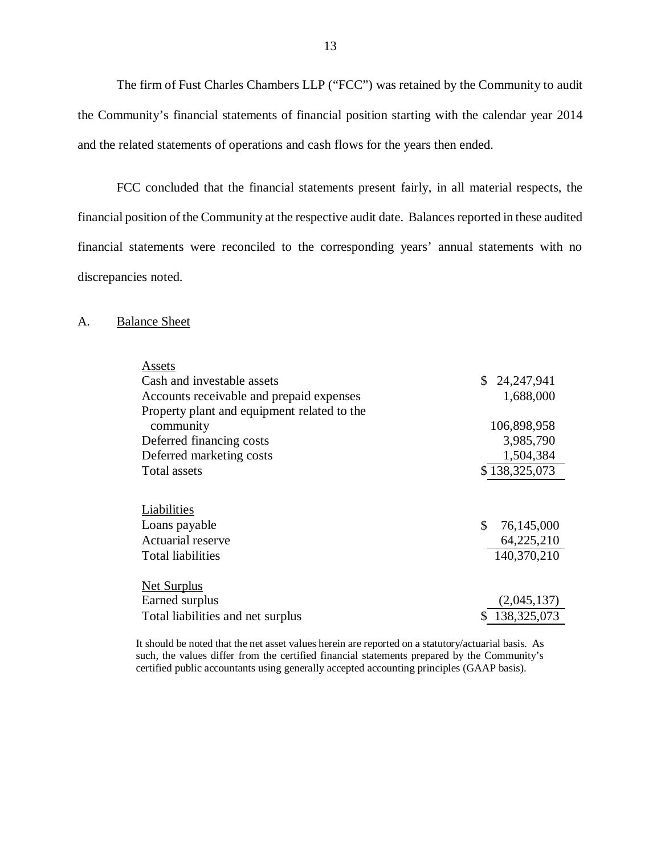<span id="page-14-0"></span> The firm of Fust Charles Chambers LLP ("FCC") was retained by the Community to audit the Community's financial statements of financial position starting with the calendar year 2014 and the related statements of operations and cash flows for the years then ended.

 FCC concluded that the financial statements present fairly, in all material respects, the financial position of the Community at the respective audit date. Balances reported in these audited financial statements were reconciled to the corresponding years' annual statements with no discrepancies noted.

## A. Balance Sheet

| Assets                                      |                  |
|---------------------------------------------|------------------|
| Cash and investable assets                  | \$24,247,941     |
| Accounts receivable and prepaid expenses    | 1,688,000        |
| Property plant and equipment related to the |                  |
| community                                   | 106,898,958      |
| Deferred financing costs                    | 3,985,790        |
| Deferred marketing costs                    | 1,504,384        |
| Total assets                                | \$138,325,073    |
|                                             |                  |
| Liabilities                                 |                  |
| Loans payable                               | \$<br>76,145,000 |
| <b>Actuarial reserve</b>                    | 64,225,210       |
| Total liabilities                           | 140,370,210      |
|                                             |                  |
| <u>Net Surplus</u>                          |                  |
| <b>Earned surplus</b>                       | (2,045,137)      |
| Total liabilities and net surplus           | \$138,325,073    |
|                                             |                  |

 It should be noted that the net asset values herein are reported on a statutory/actuarial basis. As such, the values differ from the certified financial statements prepared by the Community's certified public accountants using generally accepted accounting principles (GAAP basis).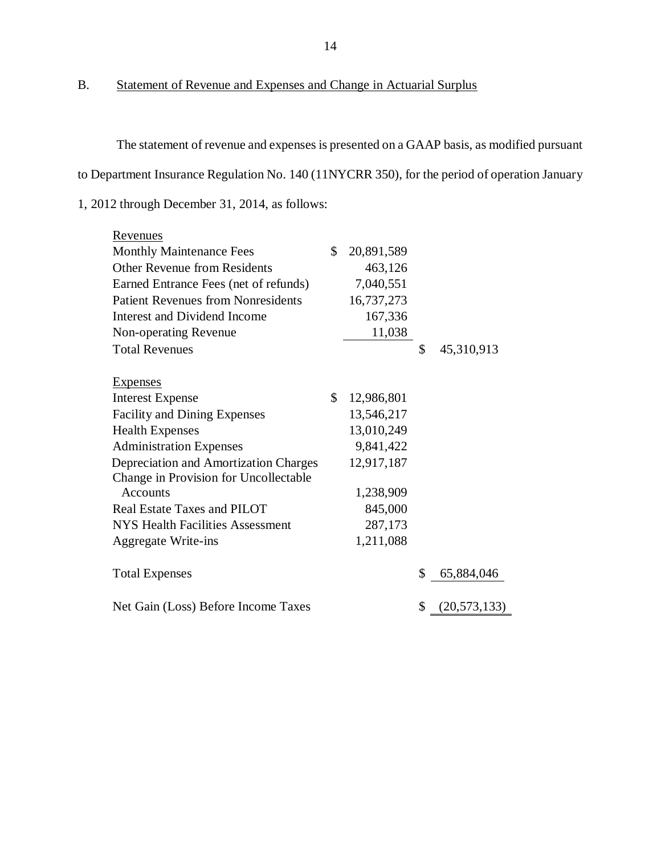B. Statement of Revenue and Expenses and Change in Actuarial Surplus

 The statement of revenue and expenses is presented on a GAAP basis, as modified pursuant to Department Insurance Regulation No. 140 (11NYCRR 350), for the period of operation January 1, 2012 through December 31, 2014, as follows:

| Revenues                                  |              |            |                      |
|-------------------------------------------|--------------|------------|----------------------|
| <b>Monthly Maintenance Fees</b>           | \$           | 20,891,589 |                      |
| <b>Other Revenue from Residents</b>       |              | 463,126    |                      |
| Earned Entrance Fees (net of refunds)     |              | 7,040,551  |                      |
| <b>Patient Revenues from Nonresidents</b> |              | 16,737,273 |                      |
| Interest and Dividend Income              |              | 167,336    |                      |
| Non-operating Revenue                     |              | 11,038     |                      |
| <b>Total Revenues</b>                     |              |            | \$<br>45,310,913     |
| <b>Expenses</b>                           |              |            |                      |
| <b>Interest Expense</b>                   | $\mathbb{S}$ | 12,986,801 |                      |
| <b>Facility and Dining Expenses</b>       |              | 13,546,217 |                      |
| <b>Health Expenses</b>                    |              | 13,010,249 |                      |
| <b>Administration Expenses</b>            |              | 9,841,422  |                      |
| Depreciation and Amortization Charges     |              | 12,917,187 |                      |
| Change in Provision for Uncollectable     |              |            |                      |
| <b>Accounts</b>                           |              | 1,238,909  |                      |
| Real Estate Taxes and PILOT               |              | 845,000    |                      |
| NYS Health Facilities Assessment          |              | 287,173    |                      |
| <b>Aggregate Write-ins</b>                |              | 1,211,088  |                      |
| <b>Total Expenses</b>                     |              |            | \$<br>65,884,046     |
| Net Gain (Loss) Before Income Taxes       |              |            | \$<br>(20, 573, 133) |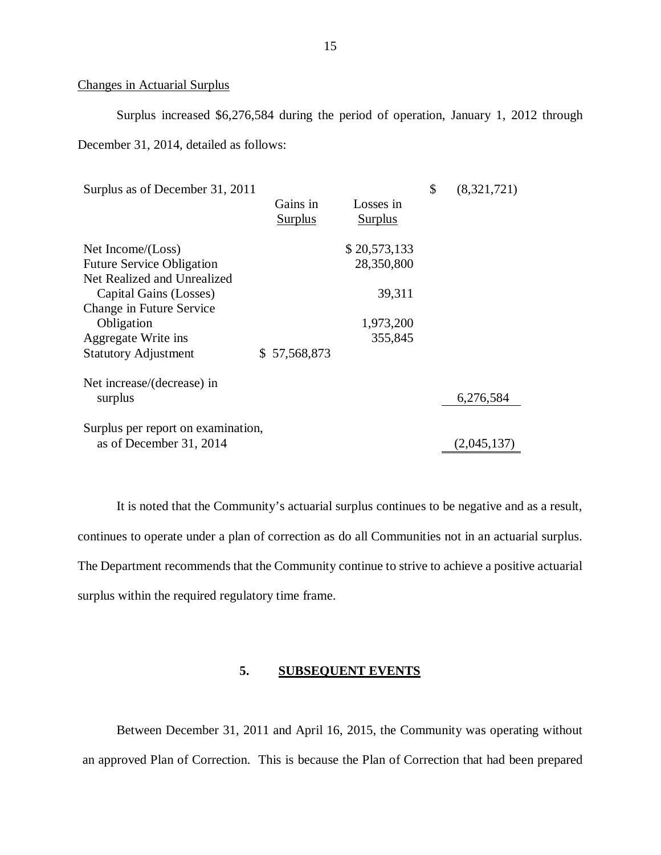## Changes in Actuarial Surplus

 Surplus increased \$6,276,584 during the period of operation, January 1, 2012 through December 31, 2014, detailed as follows:

| Surplus as of December 31, 2011    |                |                | \$<br>(8,321,721) |
|------------------------------------|----------------|----------------|-------------------|
|                                    | Gains in       | Losses in      |                   |
|                                    | <b>Surplus</b> | <b>Surplus</b> |                   |
| Net Income/(Loss)                  |                | \$20,573,133   |                   |
| <b>Future Service Obligation</b>   |                | 28,350,800     |                   |
| Net Realized and Unrealized        |                |                |                   |
| Capital Gains (Losses)             |                | 39,311         |                   |
| Change in Future Service           |                |                |                   |
| Obligation                         |                | 1,973,200      |                   |
| Aggregate Write ins                |                | 355,845        |                   |
| <b>Statutory Adjustment</b>        | \$57,568,873   |                |                   |
| Net increase/(decrease) in         |                |                |                   |
| surplus                            |                |                | 6,276,584         |
|                                    |                |                |                   |
| Surplus per report on examination, |                |                |                   |
| as of December 31, 2014            |                |                | (2,045,137)       |

 continues to operate under a plan of correction as do all Communities not in an actuarial surplus. The Department recommends that the Community continue to strive to achieve a positive actuarial surplus within the required regulatory time frame. It is noted that the Community's actuarial surplus continues to be negative and as a result,

#### **5. SUBSEQUENT EVENTS**

 Between December 31, 2011 and April 16, 2015, the Community was operating without an approved Plan of Correction. This is because the Plan of Correction that had been prepared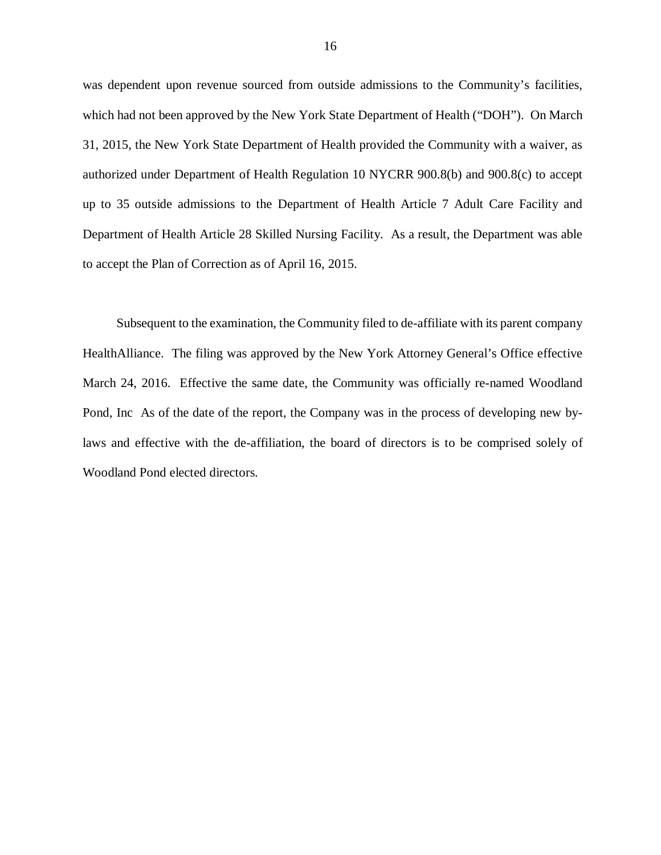was dependent upon revenue sourced from outside admissions to the Community's facilities, which had not been approved by the New York State Department of Health ("DOH"). On March 31, 2015, the New York State Department of Health provided the Community with a waiver, as authorized under Department of Health Regulation 10 NYCRR 900.8(b) and 900.8(c) to accept up to 35 outside admissions to the Department of Health Article 7 Adult Care Facility and Department of Health Article 28 Skilled Nursing Facility. As a result, the Department was able to accept the Plan of Correction as of April 16, 2015.

 Subsequent to the examination, the Community filed to de-affiliate with its parent company HealthAlliance. The filing was approved by the New York Attorney General's Office effective March 24, 2016. Effective the same date, the Community was officially re-named Woodland Pond, Inc As of the date of the report, the Company was in the process of developing new by- laws and effective with the de-affiliation, the board of directors is to be comprised solely of Woodland Pond elected directors.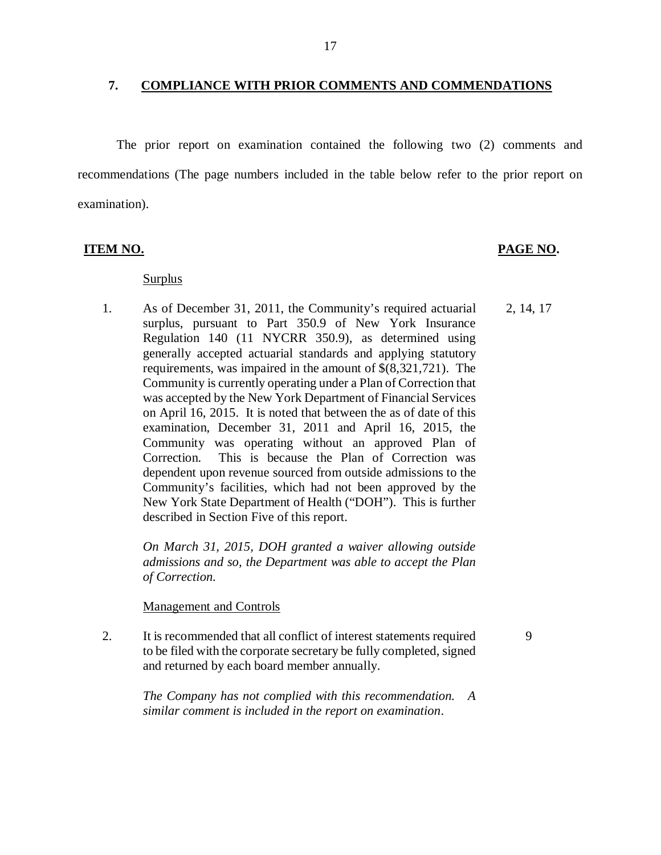#### **7. COMPLIANCE WITH PRIOR COMMENTS AND COMMENDATIONS**

 The prior report on examination contained the following two (2) comments and recommendations (The page numbers included in the table below refer to the prior report on examination).

## **ITEM NO. PAGE NO.**

9

## Surplus

 $1<sub>1</sub>$  surplus, pursuant to Part 350.9 of New York Insurance Regulation 140 (11 NYCRR 350.9), as determined using generally accepted actuarial standards and applying statutory requirements, was impaired in the amount of \$(8,321,721). The Community is currently operating under a Plan of Correction that was accepted by the New York Department of Financial Services on April 16, 2015. It is noted that between the as of date of this examination, December 31, 2011 and April 16, 2015, the Community was operating without an approved Plan of Correction. dependent upon revenue sourced from outside admissions to the Community's facilities, which had not been approved by the New York State Department of Health ("DOH"). This is further described in Section Five of this report. 2, 14, 17 As of December 31, 2011, the Community's required actuarial This is because the Plan of Correction was

> *On March 31, 2015, DOH granted a waiver allowing outside admissions and so, the Department was able to accept the Plan of Correction.*

### Management and Controls

 $2.$  to be filed with the corporate secretary be fully completed, signed and returned by each board member annually. It is recommended that all conflict of interest statements required

> *The Company has not complied with this recommendation. A similar comment is included in the report on examination*.

### 17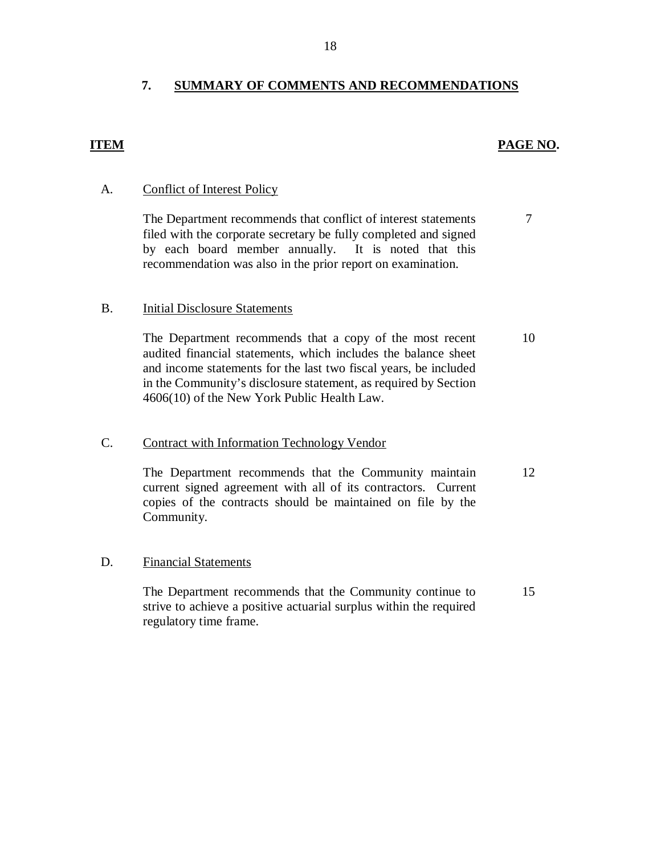#### **7. SUMMARY OF COMMENTS AND RECOMMENDATIONS**

## *PAGE NO. PAGE NO.*

7

## A. Conflict of Interest Policy

 filed with the corporate secretary be fully completed and signed by each board member annually. It is noted that this recommendation was also in the prior report on examination. The Department recommends that conflict of interest statements

#### $B<sub>1</sub>$ **Initial Disclosure Statements**

 audited financial statements, which includes the balance sheet and income statements for the last two fiscal years, be included in the Community's disclosure statement, as required by Section 4606(10) of the New York Public Health Law. The Department recommends that a copy of the most recent 10

## C. Contract with Information Technology Vendor

 current signed agreement with all of its contractors. Current copies of the contracts should be maintained on file by the The Department recommends that the Community maintain Community. 12

## D. Financial Statements

 strive to achieve a positive actuarial surplus within the required regulatory time frame. The Department recommends that the Community continue to 15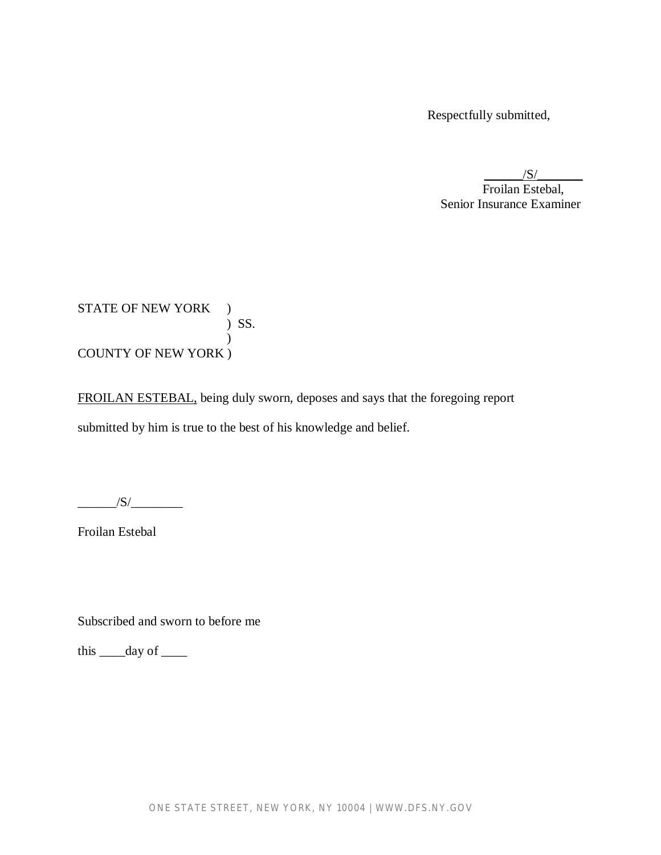Respectfully submitted,

 $/S/$ Froilan Estebal, Senior Insurance Examiner

STATE OF NEW YORK ) ) SS.  $\mathcal{L}$ COUNTY OF NEW YORK )

FROILAN ESTEBAL, being duly sworn, deposes and says that the foregoing report submitted by him is true to the best of his knowledge and belief.

 $/S/\sim$ 

Froilan Estebal

Subscribed and sworn to before me

this  $\rule{1em}{0.15mm}$  day of  $\rule{1em}{0.15mm}$